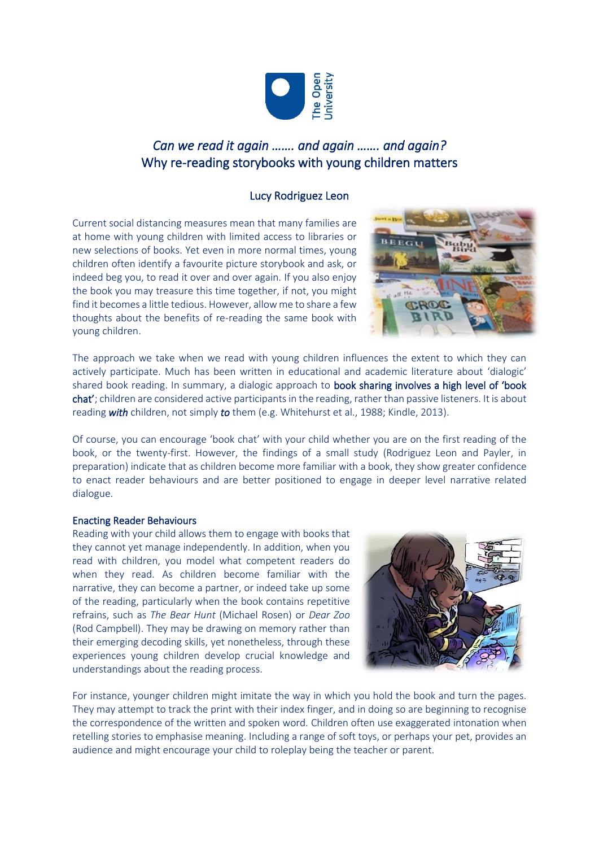

# *Can we read it again ……. and again ……. and again?* Why re-reading storybooks with young children matters

## Lucy Rodriguez Leon

Current social distancing measures mean that many families are at home with young children with limited access to libraries or new selections of books. Yet even in more normal times, young children often identify a favourite picture storybook and ask, or indeed beg you, to read it over and over again. If you also enjoy the book you may treasure this time together, if not, you might find it becomes a little tedious. However, allow me to share a few thoughts about the benefits of re-reading the same book with young children.



The approach we take when we read with young children influences the extent to which they can actively participate. Much has been written in educational and academic literature about 'dialogic' shared book reading. In summary, a dialogic approach to book sharing involves a high level of 'book chat'; children are considered active participants in the reading, rather than passive listeners. It is about reading *with* children, not simply *to* them (e.g. Whitehurst et al., 1988; Kindle, 2013).

Of course, you can encourage 'book chat' with your child whether you are on the first reading of the book, or the twenty-first. However, the findings of a small study (Rodriguez Leon and Payler, in preparation) indicate that as children become more familiar with a book, they show greater confidence to enact reader behaviours and are better positioned to engage in deeper level narrative related dialogue.

### Enacting Reader Behaviours

Reading with your child allows them to engage with books that they cannot yet manage independently. In addition, when you read with children, you model what competent readers do when they read. As children become familiar with the narrative, they can become a partner, or indeed take up some of the reading, particularly when the book contains repetitive refrains, such as *The Bear Hunt* (Michael Rosen) or *Dear Zoo* (Rod Campbell). They may be drawing on memory rather than their emerging decoding skills, yet nonetheless, through these experiences young children develop crucial knowledge and understandings about the reading process.



For instance, younger children might imitate the way in which you hold the book and turn the pages. They may attempt to track the print with their index finger, and in doing so are beginning to recognise the correspondence of the written and spoken word. Children often use exaggerated intonation when retelling stories to emphasise meaning. Including a range of soft toys, or perhaps your pet, provides an audience and might encourage your child to roleplay being the teacher or parent.